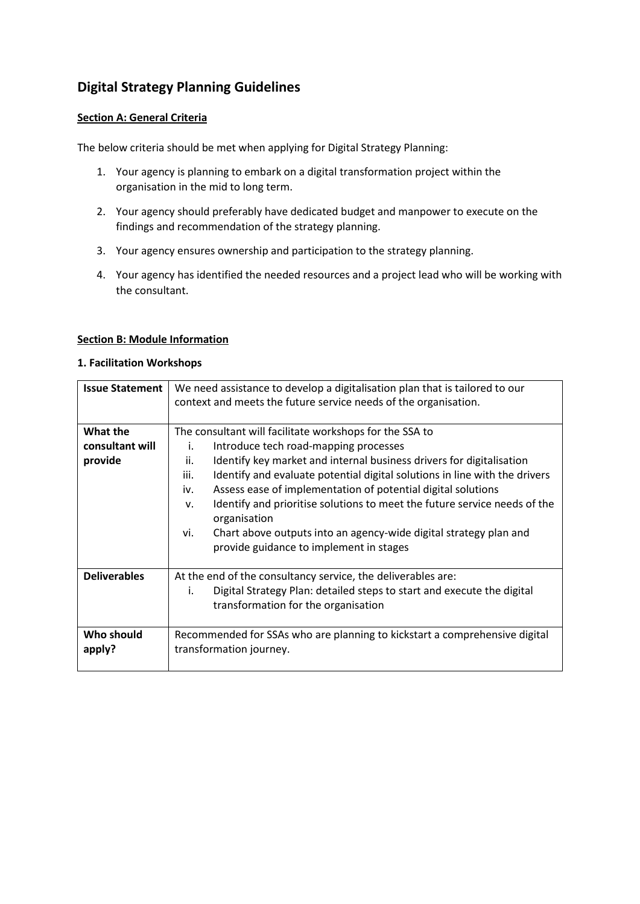# **Digital Strategy Planning Guidelines**

### **Section A: General Criteria**

The below criteria should be met when applying for Digital Strategy Planning:

- 1. Your agency is planning to embark on a digital transformation project within the organisation in the mid to long term.
- 2. Your agency should preferably have dedicated budget and manpower to execute on the findings and recommendation of the strategy planning.
- 3. Your agency ensures ownership and participation to the strategy planning.
- 4. Your agency has identified the needed resources and a project lead who will be working with the consultant.

#### **Section B: Module Information**

#### **1. Facilitation Workshops**

| <b>Issue Statement</b>                 | We need assistance to develop a digitalisation plan that is tailored to our<br>context and meets the future service needs of the organisation.                                                                                                                                                                                                                                                                                                                                                                                                                               |
|----------------------------------------|------------------------------------------------------------------------------------------------------------------------------------------------------------------------------------------------------------------------------------------------------------------------------------------------------------------------------------------------------------------------------------------------------------------------------------------------------------------------------------------------------------------------------------------------------------------------------|
| What the<br>consultant will<br>provide | The consultant will facilitate workshops for the SSA to<br>Introduce tech road-mapping processes<br>i.<br>Identify key market and internal business drivers for digitalisation<br>ii.<br>Identify and evaluate potential digital solutions in line with the drivers<br>iii.<br>Assess ease of implementation of potential digital solutions<br>iv.<br>Identify and prioritise solutions to meet the future service needs of the<br>V.<br>organisation<br>Chart above outputs into an agency-wide digital strategy plan and<br>vi.<br>provide guidance to implement in stages |
| <b>Deliverables</b>                    | At the end of the consultancy service, the deliverables are:<br>Digital Strategy Plan: detailed steps to start and execute the digital<br>i.<br>transformation for the organisation                                                                                                                                                                                                                                                                                                                                                                                          |
| Who should<br>apply?                   | Recommended for SSAs who are planning to kickstart a comprehensive digital<br>transformation journey.                                                                                                                                                                                                                                                                                                                                                                                                                                                                        |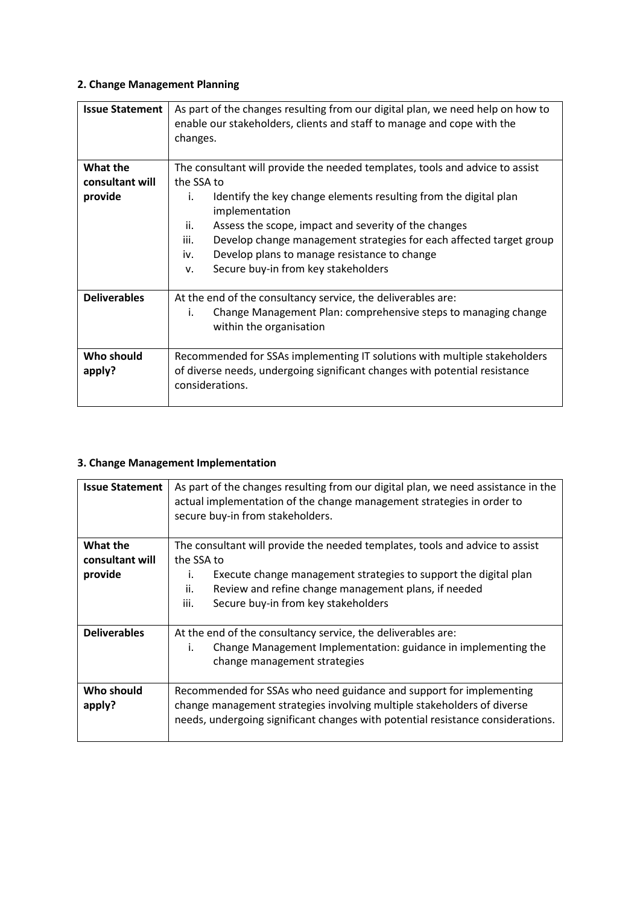## **2. Change Management Planning**

| <b>Issue Statement</b> | As part of the changes resulting from our digital plan, we need help on how to<br>enable our stakeholders, clients and staff to manage and cope with the<br>changes. |
|------------------------|----------------------------------------------------------------------------------------------------------------------------------------------------------------------|
| What the               | The consultant will provide the needed templates, tools and advice to assist                                                                                         |
| consultant will        | the SSA to                                                                                                                                                           |
| provide                | Identify the key change elements resulting from the digital plan<br>i.<br>implementation                                                                             |
|                        | ii.<br>Assess the scope, impact and severity of the changes                                                                                                          |
|                        | Develop change management strategies for each affected target group<br>iii.                                                                                          |
|                        | Develop plans to manage resistance to change<br>iv.                                                                                                                  |
|                        | Secure buy-in from key stakeholders<br>v.                                                                                                                            |
| <b>Deliverables</b>    | At the end of the consultancy service, the deliverables are:                                                                                                         |
|                        | Change Management Plan: comprehensive steps to managing change<br>i.<br>within the organisation                                                                      |
| Who should             | Recommended for SSAs implementing IT solutions with multiple stakeholders                                                                                            |
| apply?                 | of diverse needs, undergoing significant changes with potential resistance<br>considerations.                                                                        |

### **3. Change Management Implementation**

| <b>Issue Statement</b> | As part of the changes resulting from our digital plan, we need assistance in the<br>actual implementation of the change management strategies in order to<br>secure buy-in from stakeholders. |
|------------------------|------------------------------------------------------------------------------------------------------------------------------------------------------------------------------------------------|
| What the               | The consultant will provide the needed templates, tools and advice to assist                                                                                                                   |
| consultant will        | the SSA to                                                                                                                                                                                     |
| provide                | Execute change management strategies to support the digital plan<br>İ.                                                                                                                         |
|                        | Review and refine change management plans, if needed<br>ii.                                                                                                                                    |
|                        | iii.<br>Secure buy-in from key stakeholders                                                                                                                                                    |
| <b>Deliverables</b>    | At the end of the consultancy service, the deliverables are:                                                                                                                                   |
|                        | Change Management Implementation: guidance in implementing the<br>i.<br>change management strategies                                                                                           |
| Who should             | Recommended for SSAs who need guidance and support for implementing                                                                                                                            |
| apply?                 | change management strategies involving multiple stakeholders of diverse<br>needs, undergoing significant changes with potential resistance considerations.                                     |